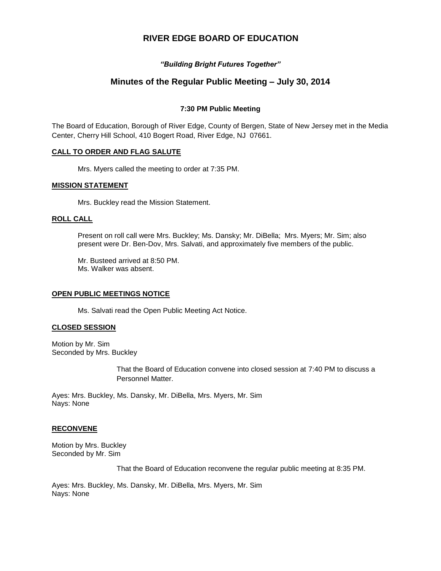# **RIVER EDGE BOARD OF EDUCATION**

# *"Building Bright Futures Together"*

# **Minutes of the Regular Public Meeting – July 30, 2014**

## **7:30 PM Public Meeting**

The Board of Education, Borough of River Edge, County of Bergen, State of New Jersey met in the Media Center, Cherry Hill School, 410 Bogert Road, River Edge, NJ 07661.

## **CALL TO ORDER AND FLAG SALUTE**

Mrs. Myers called the meeting to order at 7:35 PM.

## **MISSION STATEMENT**

Mrs. Buckley read the Mission Statement.

### **ROLL CALL**

Present on roll call were Mrs. Buckley; Ms. Dansky; Mr. DiBella; Mrs. Myers; Mr. Sim; also present were Dr. Ben-Dov, Mrs. Salvati, and approximately five members of the public.

Mr. Busteed arrived at 8:50 PM. Ms. Walker was absent.

### **OPEN PUBLIC MEETINGS NOTICE**

Ms. Salvati read the Open Public Meeting Act Notice.

### **CLOSED SESSION**

Motion by Mr. Sim Seconded by Mrs. Buckley

> That the Board of Education convene into closed session at 7:40 PM to discuss a Personnel Matter.

Ayes: Mrs. Buckley, Ms. Dansky, Mr. DiBella, Mrs. Myers, Mr. Sim Nays: None

# **RECONVENE**

Motion by Mrs. Buckley Seconded by Mr. Sim

That the Board of Education reconvene the regular public meeting at 8:35 PM.

Ayes: Mrs. Buckley, Ms. Dansky, Mr. DiBella, Mrs. Myers, Mr. Sim Nays: None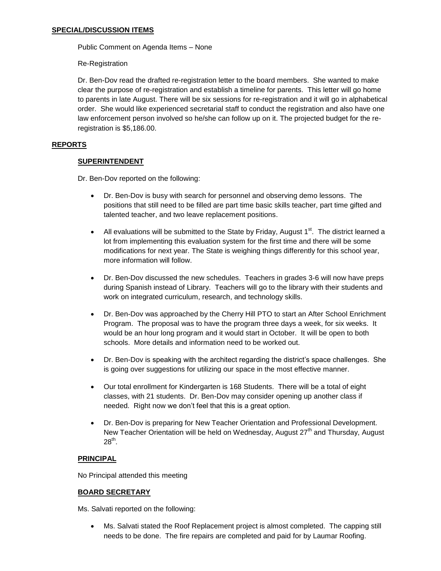Public Comment on Agenda Items – None

Re-Registration

Dr. Ben-Dov read the drafted re-registration letter to the board members. She wanted to make clear the purpose of re-registration and establish a timeline for parents. This letter will go home to parents in late August. There will be six sessions for re-registration and it will go in alphabetical order. She would like experienced secretarial staff to conduct the registration and also have one law enforcement person involved so he/she can follow up on it. The projected budget for the reregistration is \$5,186.00.

# **REPORTS**

# **SUPERINTENDENT**

Dr. Ben-Dov reported on the following:

- Dr. Ben-Dov is busy with search for personnel and observing demo lessons. The positions that still need to be filled are part time basic skills teacher, part time gifted and talented teacher, and two leave replacement positions.
- All evaluations will be submitted to the State by Friday, August  $1<sup>st</sup>$ . The district learned a lot from implementing this evaluation system for the first time and there will be some modifications for next year. The State is weighing things differently for this school year, more information will follow.
- Dr. Ben-Dov discussed the new schedules. Teachers in grades 3-6 will now have preps during Spanish instead of Library. Teachers will go to the library with their students and work on integrated curriculum, research, and technology skills.
- Dr. Ben-Dov was approached by the Cherry Hill PTO to start an After School Enrichment Program. The proposal was to have the program three days a week, for six weeks. It would be an hour long program and it would start in October. It will be open to both schools. More details and information need to be worked out.
- Dr. Ben-Dov is speaking with the architect regarding the district's space challenges. She is going over suggestions for utilizing our space in the most effective manner.
- Our total enrollment for Kindergarten is 168 Students. There will be a total of eight classes, with 21 students. Dr. Ben-Dov may consider opening up another class if needed. Right now we don't feel that this is a great option.
- Dr. Ben-Dov is preparing for New Teacher Orientation and Professional Development. New Teacher Orientation will be held on Wednesday, August 27<sup>th</sup> and Thursday, August  $28<sup>th</sup>$ .

# **PRINCIPAL**

No Principal attended this meeting

# **BOARD SECRETARY**

Ms. Salvati reported on the following:

 Ms. Salvati stated the Roof Replacement project is almost completed. The capping still needs to be done. The fire repairs are completed and paid for by Laumar Roofing.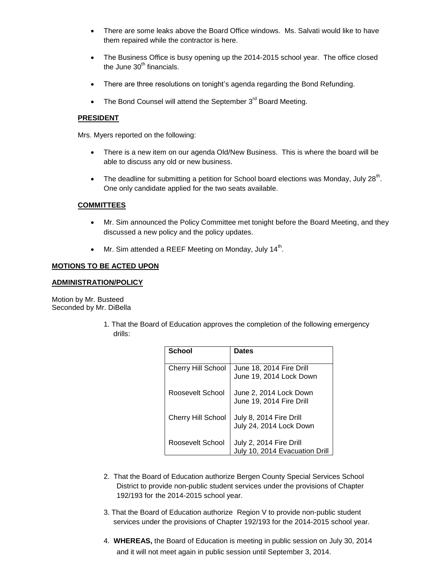- There are some leaks above the Board Office windows. Ms. Salvati would like to have them repaired while the contractor is here.
- The Business Office is busy opening up the 2014-2015 school year. The office closed the June  $30<sup>th</sup>$  financials.
- There are three resolutions on tonight's agenda regarding the Bond Refunding.
- The Bond Counsel will attend the September  $3<sup>rd</sup>$  Board Meeting.

## **PRESIDENT**

Mrs. Myers reported on the following:

- There is a new item on our agenda Old/New Business. This is where the board will be able to discuss any old or new business.
- The deadline for submitting a petition for School board elections was Monday, July 28<sup>th</sup>. One only candidate applied for the two seats available.

## **COMMITTEES**

- Mr. Sim announced the Policy Committee met tonight before the Board Meeting, and they discussed a new policy and the policy updates.
- Mr. Sim attended a REEF Meeting on Monday, July 14<sup>th</sup>.

# **MOTIONS TO BE ACTED UPON**

## **ADMINISTRATION/POLICY**

Motion by Mr. Busteed Seconded by Mr. DiBella

> 1. That the Board of Education approves the completion of the following emergency drills:

| <b>School</b>             | <b>Dates</b>                                              |
|---------------------------|-----------------------------------------------------------|
| <b>Cherry Hill School</b> | June 18, 2014 Fire Drill<br>June 19, 2014 Lock Down       |
| Roosevelt School          | June 2, 2014 Lock Down<br>June 19, 2014 Fire Drill        |
| <b>Cherry Hill School</b> | July 8, 2014 Fire Drill<br>July 24, 2014 Lock Down        |
| Roosevelt School          | July 2, 2014 Fire Drill<br>July 10, 2014 Evacuation Drill |

- 2. That the Board of Education authorize Bergen County Special Services School District to provide non-public student services under the provisions of Chapter 192/193 for the 2014-2015 school year.
- 3. That the Board of Education authorize Region V to provide non-public student services under the provisions of Chapter 192/193 for the 2014-2015 school year.
- 4. **WHEREAS,** the Board of Education is meeting in public session on July 30, 2014 and it will not meet again in public session until September 3, 2014.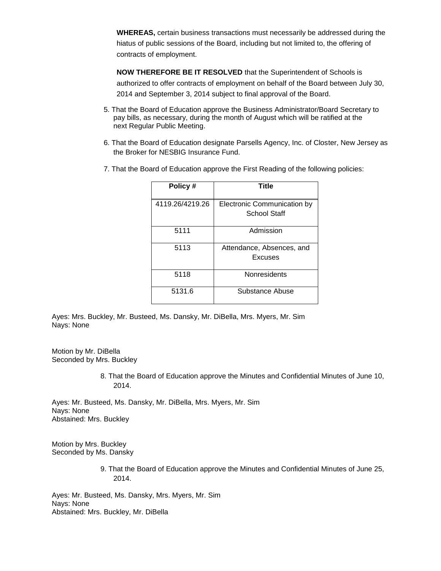**WHEREAS,** certain business transactions must necessarily be addressed during the hiatus of public sessions of the Board, including but not limited to, the offering of contracts of employment.

**NOW THEREFORE BE IT RESOLVED** that the Superintendent of Schools is authorized to offer contracts of employment on behalf of the Board between July 30, 2014 and September 3, 2014 subject to final approval of the Board.

- 5. That the Board of Education approve the Business Administrator/Board Secretary to pay bills, as necessary, during the month of August which will be ratified at the next Regular Public Meeting.
- 6. That the Board of Education designate Parsells Agency, Inc. of Closter, New Jersey as the Broker for NESBIG Insurance Fund.
- 7. That the Board of Education approve the First Reading of the following policies:

| Policy#         | Title                                       |
|-----------------|---------------------------------------------|
| 4119.26/4219.26 | Electronic Communication by<br>School Staff |
| 5111            | Admission                                   |
| 5113            | Attendance, Absences, and<br><b>Excuses</b> |
| 5118            | Nonresidents                                |
| 5131.6          | Substance Abuse                             |

Ayes: Mrs. Buckley, Mr. Busteed, Ms. Dansky, Mr. DiBella, Mrs. Myers, Mr. Sim Nays: None

Motion by Mr. DiBella Seconded by Mrs. Buckley

> 8. That the Board of Education approve the Minutes and Confidential Minutes of June 10, 2014.

Ayes: Mr. Busteed, Ms. Dansky, Mr. DiBella, Mrs. Myers, Mr. Sim Nays: None Abstained: Mrs. Buckley

Motion by Mrs. Buckley Seconded by Ms. Dansky

> 9. That the Board of Education approve the Minutes and Confidential Minutes of June 25, 2014.

Ayes: Mr. Busteed, Ms. Dansky, Mrs. Myers, Mr. Sim Nays: None Abstained: Mrs. Buckley, Mr. DiBella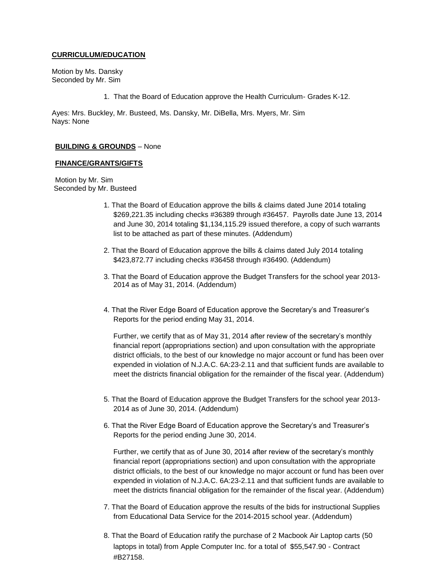### **CURRICULUM/EDUCATION**

Motion by Ms. Dansky Seconded by Mr. Sim

1. That the Board of Education approve the Health Curriculum- Grades K-12.

Ayes: Mrs. Buckley, Mr. Busteed, Ms. Dansky, Mr. DiBella, Mrs. Myers, Mr. Sim Nays: None

#### **BUILDING & GROUNDS** – None

#### **FINANCE/GRANTS/GIFTS**

Motion by Mr. Sim Seconded by Mr. Busteed

- 1. That the Board of Education approve the bills & claims dated June 2014 totaling \$269,221.35 including checks #36389 through #36457. Payrolls date June 13, 2014 and June 30, 2014 totaling \$1,134,115.29 issued therefore, a copy of such warrants list to be attached as part of these minutes. (Addendum)
- 2. That the Board of Education approve the bills & claims dated July 2014 totaling \$423,872.77 including checks #36458 through #36490. (Addendum)
- 3. That the Board of Education approve the Budget Transfers for the school year 2013- 2014 as of May 31, 2014. (Addendum)
- 4. That the River Edge Board of Education approve the Secretary's and Treasurer's Reports for the period ending May 31, 2014.

Further, we certify that as of May 31, 2014 after review of the secretary's monthly financial report (appropriations section) and upon consultation with the appropriate district officials, to the best of our knowledge no major account or fund has been over expended in violation of N.J.A.C. 6A:23-2.11 and that sufficient funds are available to meet the districts financial obligation for the remainder of the fiscal year. (Addendum)

- 5. That the Board of Education approve the Budget Transfers for the school year 2013- 2014 as of June 30, 2014. (Addendum)
- 6. That the River Edge Board of Education approve the Secretary's and Treasurer's Reports for the period ending June 30, 2014.

Further, we certify that as of June 30, 2014 after review of the secretary's monthly financial report (appropriations section) and upon consultation with the appropriate district officials, to the best of our knowledge no major account or fund has been over expended in violation of N.J.A.C. 6A:23-2.11 and that sufficient funds are available to meet the districts financial obligation for the remainder of the fiscal year. (Addendum)

- 7. That the Board of Education approve the results of the bids for instructional Supplies from Educational Data Service for the 2014-2015 school year. (Addendum)
- 8. That the Board of Education ratify the purchase of 2 Macbook Air Laptop carts (50 laptops in total) from Apple Computer Inc. for a total of \$55,547.90 - Contract #B27158.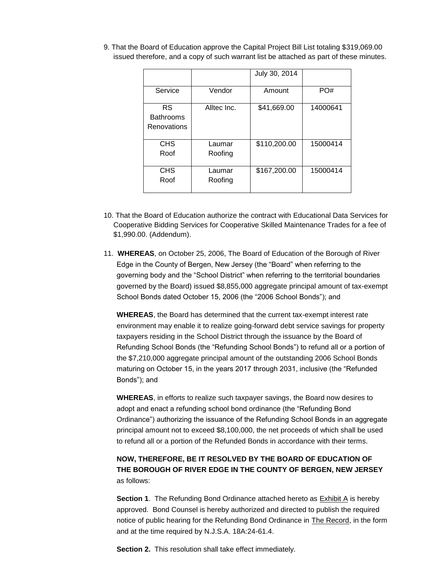|                                       |                   | July 30, 2014 |          |
|---------------------------------------|-------------------|---------------|----------|
| Service                               | Vendor            | Amount        | PO#      |
| RS<br><b>Bathrooms</b><br>Renovations | Alltec Inc.       | \$41,669.00   | 14000641 |
| <b>CHS</b><br>Roof                    | Laumar<br>Roofing | \$110,200.00  | 15000414 |
| <b>CHS</b><br>Roof                    | Laumar<br>Roofing | \$167,200.00  | 15000414 |

9. That the Board of Education approve the Capital Project Bill List totaling \$319,069.00 issued therefore, and a copy of such warrant list be attached as part of these minutes.

- 10. That the Board of Education authorize the contract with Educational Data Services for Cooperative Bidding Services for Cooperative Skilled Maintenance Trades for a fee of \$1,990.00. (Addendum).
- 11. **WHEREAS**, on October 25, 2006, The Board of Education of the Borough of River Edge in the County of Bergen, New Jersey (the "Board" when referring to the governing body and the "School District" when referring to the territorial boundaries governed by the Board) issued \$8,855,000 aggregate principal amount of tax-exempt School Bonds dated October 15, 2006 (the "2006 School Bonds"); and

**WHEREAS**, the Board has determined that the current tax-exempt interest rate environment may enable it to realize going-forward debt service savings for property taxpayers residing in the School District through the issuance by the Board of Refunding School Bonds (the "Refunding School Bonds") to refund all or a portion of the \$7,210,000 aggregate principal amount of the outstanding 2006 School Bonds maturing on October 15, in the years 2017 through 2031, inclusive (the "Refunded Bonds"); and

**WHEREAS**, in efforts to realize such taxpayer savings, the Board now desires to adopt and enact a refunding school bond ordinance (the "Refunding Bond Ordinance") authorizing the issuance of the Refunding School Bonds in an aggregate principal amount not to exceed \$8,100,000, the net proceeds of which shall be used to refund all or a portion of the Refunded Bonds in accordance with their terms.

# **NOW, THEREFORE, BE IT RESOLVED BY THE BOARD OF EDUCATION OF THE BOROUGH OF RIVER EDGE IN THE COUNTY OF BERGEN, NEW JERSEY**  as follows:

**Section 1.** The Refunding Bond Ordinance attached hereto as **Exhibit A** is hereby approved. Bond Counsel is hereby authorized and directed to publish the required notice of public hearing for the Refunding Bond Ordinance in The Record, in the form and at the time required by N.J.S.A. 18A:24-61.4.

**Section 2.** This resolution shall take effect immediately.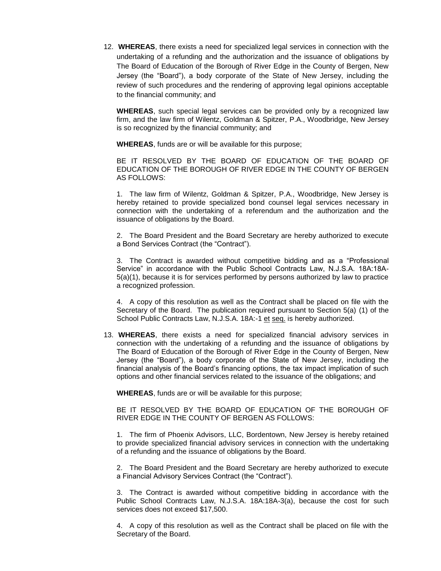12. **WHEREAS**, there exists a need for specialized legal services in connection with the undertaking of a refunding and the authorization and the issuance of obligations by The Board of Education of the Borough of River Edge in the County of Bergen, New Jersey (the "Board"), a body corporate of the State of New Jersey, including the review of such procedures and the rendering of approving legal opinions acceptable to the financial community; and

**WHEREAS**, such special legal services can be provided only by a recognized law firm, and the law firm of Wilentz, Goldman & Spitzer, P.A., Woodbridge, New Jersey is so recognized by the financial community; and

**WHEREAS**, funds are or will be available for this purpose;

BE IT RESOLVED BY THE BOARD OF EDUCATION OF THE BOARD OF EDUCATION OF THE BOROUGH OF RIVER EDGE IN THE COUNTY OF BERGEN AS FOLLOWS:

1. The law firm of Wilentz, Goldman & Spitzer, P.A., Woodbridge, New Jersey is hereby retained to provide specialized bond counsel legal services necessary in connection with the undertaking of a referendum and the authorization and the issuance of obligations by the Board.

2. The Board President and the Board Secretary are hereby authorized to execute a Bond Services Contract (the "Contract").

3. The Contract is awarded without competitive bidding and as a "Professional Service" in accordance with the Public School Contracts Law, N.J.S.A. 18A:18A-5(a)(1), because it is for services performed by persons authorized by law to practice a recognized profession.

4. A copy of this resolution as well as the Contract shall be placed on file with the Secretary of the Board. The publication required pursuant to Section 5(a) (1) of the School Public Contracts Law, N.J.S.A. 18A:-1 et seq. is hereby authorized.

13. **WHEREAS**, there exists a need for specialized financial advisory services in connection with the undertaking of a refunding and the issuance of obligations by The Board of Education of the Borough of River Edge in the County of Bergen, New Jersey (the "Board"), a body corporate of the State of New Jersey, including the financial analysis of the Board's financing options, the tax impact implication of such options and other financial services related to the issuance of the obligations; and

**WHEREAS**, funds are or will be available for this purpose;

BE IT RESOLVED BY THE BOARD OF EDUCATION OF THE BOROUGH OF RIVER EDGE IN THE COUNTY OF BERGEN AS FOLLOWS:

1. The firm of Phoenix Advisors, LLC, Bordentown, New Jersey is hereby retained to provide specialized financial advisory services in connection with the undertaking of a refunding and the issuance of obligations by the Board.

2. The Board President and the Board Secretary are hereby authorized to execute a Financial Advisory Services Contract (the "Contract").

3. The Contract is awarded without competitive bidding in accordance with the Public School Contracts Law, N.J.S.A. 18A:18A-3(a), because the cost for such services does not exceed \$17,500.

4. A copy of this resolution as well as the Contract shall be placed on file with the Secretary of the Board.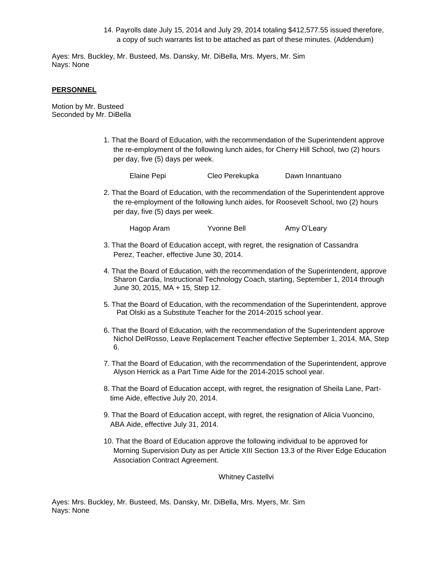14. Payrolls date July 15, 2014 and July 29, 2014 totaling \$412,577.55 issued therefore, a copy of such warrants list to be attached as part of these minutes. (Addendum)

Ayes: Mrs. Buckley, Mr. Busteed, Ms. Dansky, Mr. DiBella, Mrs. Myers, Mr. Sim Nays: None

## **PERSONNEL**

Motion by Mr. Busteed Seconded by Mr. DiBella

> 1. That the Board of Education, with the recommendation of the Superintendent approve the re-employment of the following lunch aides, for Cherry Hill School, two (2) hours per day, five (5) days per week.

Elaine Pepi Cleo Perekupka Dawn Innantuano

2. That the Board of Education, with the recommendation of the Superintendent approve the re-employment of the following lunch aides, for Roosevelt School, two (2) hours per day, five (5) days per week.

Hagop Aram Yvonne Bell Amy O'Leary

- 3. That the Board of Education accept, with regret, the resignation of Cassandra Perez, Teacher, effective June 30, 2014.
- 4. That the Board of Education, with the recommendation of the Superintendent, approve Sharon Cardia, Instructional Technology Coach, starting, September 1, 2014 through June 30, 2015, MA + 15, Step 12.
- 5. That the Board of Education, with the recommendation of the Superintendent, approve Pat Olski as a Substitute Teacher for the 2014-2015 school year.
- 6. That the Board of Education, with the recommendation of the Superintendent approve Nichol DelRosso, Leave Replacement Teacher effective September 1, 2014, MA, Step 6.
- 7. That the Board of Education, with the recommendation of the Superintendent, approve Alyson Herrick as a Part Time Aide for the 2014-2015 school year.
- 8. That the Board of Education accept, with regret, the resignation of Sheila Lane, Parttime Aide, effective July 20, 2014.
- 9. That the Board of Education accept, with regret, the resignation of Alicia Vuoncino, ABA Aide, effective July 31, 2014.
- 10. That the Board of Education approve the following individual to be approved for Morning Supervision Duty as per Article XIII Section 13.3 of the River Edge Education Association Contract Agreement.

Whitney Castellvi

Ayes: Mrs. Buckley, Mr. Busteed, Ms. Dansky, Mr. DiBella, Mrs. Myers, Mr. Sim Nays: None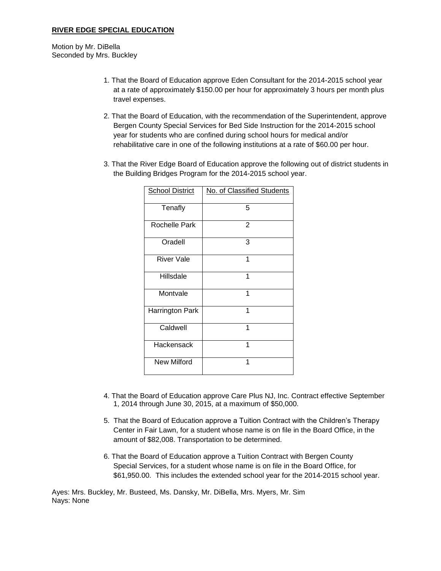Motion by Mr. DiBella Seconded by Mrs. Buckley

- 1. That the Board of Education approve Eden Consultant for the 2014-2015 school year at a rate of approximately \$150.00 per hour for approximately 3 hours per month plus travel expenses.
- 2. That the Board of Education, with the recommendation of the Superintendent, approve Bergen County Special Services for Bed Side Instruction for the 2014-2015 school year for students who are confined during school hours for medical and/or rehabilitative care in one of the following institutions at a rate of \$60.00 per hour.
- 3. That the River Edge Board of Education approve the following out of district students in the Building Bridges Program for the 2014-2015 school year.

| <b>School District</b> | No. of Classified Students |
|------------------------|----------------------------|
| Tenafly                | 5                          |
| Rochelle Park          | 2                          |
| Oradell                | 3                          |
| <b>River Vale</b>      | 1                          |
| Hillsdale              | 1                          |
| Montvale               | 1                          |
| <b>Harrington Park</b> | 1                          |
| Caldwell               | 1                          |
| Hackensack             | 1                          |
| New Milford            | 1                          |

- 4. That the Board of Education approve Care Plus NJ, Inc. Contract effective September 1, 2014 through June 30, 2015, at a maximum of \$50,000.
- 5. That the Board of Education approve a Tuition Contract with the Children's Therapy Center in Fair Lawn, for a student whose name is on file in the Board Office, in the amount of \$82,008. Transportation to be determined.
- 6. That the Board of Education approve a Tuition Contract with Bergen County Special Services, for a student whose name is on file in the Board Office, for \$61,950.00. This includes the extended school year for the 2014-2015 school year.

Ayes: Mrs. Buckley, Mr. Busteed, Ms. Dansky, Mr. DiBella, Mrs. Myers, Mr. Sim Nays: None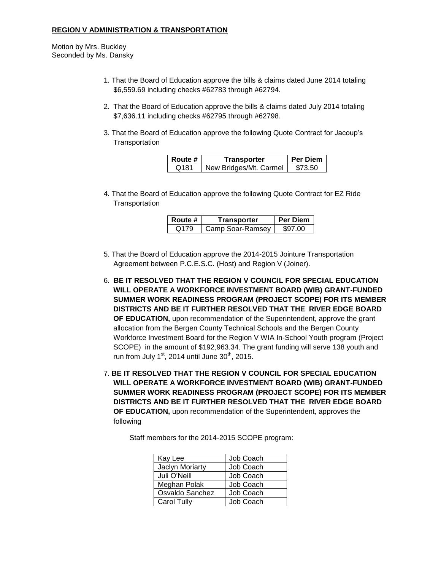## **REGION V ADMINISTRATION & TRANSPORTATION**

Motion by Mrs. Buckley Seconded by Ms. Dansky

- 1. That the Board of Education approve the bills & claims dated June 2014 totaling \$6,559.69 including checks #62783 through #62794.
- 2. That the Board of Education approve the bills & claims dated July 2014 totaling \$7,636.11 including checks #62795 through #62798.
- 3. That the Board of Education approve the following Quote Contract for Jacoup's **Transportation**

| l Route #        | Transporter            | <b>Per Diem</b> |
|------------------|------------------------|-----------------|
| Q <sub>181</sub> | New Bridges/Mt. Carmel | \$73.50         |

4. That the Board of Education approve the following Quote Contract for EZ Ride **Transportation** 

| Route # | Transporter      | <b>Per Diem</b> |
|---------|------------------|-----------------|
| Q179    | Camp Soar-Ramsey | \$97.00         |

- 5. That the Board of Education approve the 2014-2015 Jointure Transportation Agreement between P.C.E.S.C. (Host) and Region V (Joiner).
- 6. **BE IT RESOLVED THAT THE REGION V COUNCIL FOR SPECIAL EDUCATION WILL OPERATE A WORKFORCE INVESTMENT BOARD (WIB) GRANT-FUNDED SUMMER WORK READINESS PROGRAM (PROJECT SCOPE) FOR ITS MEMBER DISTRICTS AND BE IT FURTHER RESOLVED THAT THE RIVER EDGE BOARD OF EDUCATION,** upon recommendation of the Superintendent, approve the grant allocation from the Bergen County Technical Schools and the Bergen County Workforce Investment Board for the Region V WIA In-School Youth program (Project SCOPE) in the amount of \$192,963.34. The grant funding will serve 138 youth and run from July  $1<sup>st</sup>$ , 2014 until June  $30<sup>th</sup>$ , 2015.
- 7. **BE IT RESOLVED THAT THE REGION V COUNCIL FOR SPECIAL EDUCATION WILL OPERATE A WORKFORCE INVESTMENT BOARD (WIB) GRANT-FUNDED SUMMER WORK READINESS PROGRAM (PROJECT SCOPE) FOR ITS MEMBER DISTRICTS AND BE IT FURTHER RESOLVED THAT THE RIVER EDGE BOARD OF EDUCATION,** upon recommendation of the Superintendent, approves the following

| Kay Lee         | Job Coach |
|-----------------|-----------|
| Jaclyn Moriarty | Job Coach |
| Juli O'Neill    | Job Coach |
| Meghan Polak    | Job Coach |
| Osvaldo Sanchez | Job Coach |
| Carol Tully     | Job Coach |

Staff members for the 2014-2015 SCOPE program: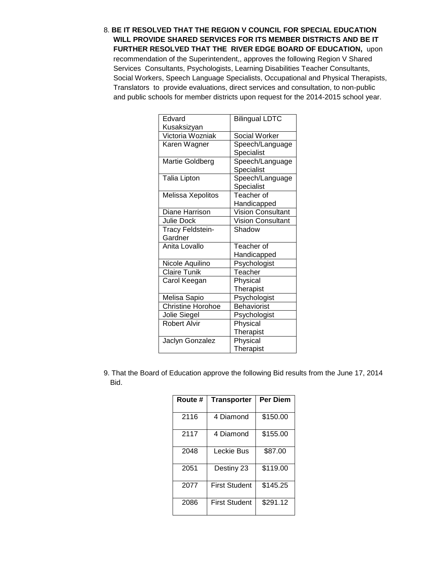8. **BE IT RESOLVED THAT THE REGION V COUNCIL FOR SPECIAL EDUCATION WILL PROVIDE SHARED SERVICES FOR ITS MEMBER DISTRICTS AND BE IT FURTHER RESOLVED THAT THE RIVER EDGE BOARD OF EDUCATION,** upon recommendation of the Superintendent,, approves the following Region V Shared Services Consultants, Psychologists, Learning Disabilities Teacher Consultants, Social Workers, Speech Language Specialists, Occupational and Physical Therapists, Translators to provide evaluations, direct services and consultation, to non-public and public schools for member districts upon request for the 2014-2015 school year.

| Edvard                      | <b>Bilingual LDTC</b>         |
|-----------------------------|-------------------------------|
| Kusaksizyan                 |                               |
| Victoria Wozniak            | Social Worker                 |
| Karen Wagner                | Speech/Language<br>Specialist |
| Martie Goldberg             | Speech/Language<br>Specialist |
| Talia Lipton                | Speech/Language<br>Specialist |
| Melissa Xepolitos           | Teacher of                    |
|                             | Handicapped                   |
| Diane Harrison              | Vision Consultant             |
| <b>Julie Dock</b>           | <b>Vision Consultant</b>      |
| Tracy Feldstein-<br>Gardner | Shadow                        |
| Anita Lovallo               | Teacher of                    |
|                             | Handicapped                   |
| Nicole Aquilino             | Psychologist                  |
| <b>Claire Tunik</b>         | Teacher                       |
| Carol Keegan                | Physical                      |
|                             | Therapist                     |
| Melisa Sapio                | Psychologist                  |
| <b>Christine Horohoe</b>    | <b>Behaviorist</b>            |
| Jolie Siegel                | Psychologist                  |
| <b>Robert Alvir</b>         | Physical                      |
|                             | Therapist                     |
| Jaclyn Gonzalez             | Physical                      |
|                             | Therapist                     |

9. That the Board of Education approve the following Bid results from the June 17, 2014 Bid.

| Route # | <b>Transporter</b>   | <b>Per Diem</b> |
|---------|----------------------|-----------------|
| 2116    | 4 Diamond            | \$150.00        |
| 2117    | 4 Diamond            | \$155.00        |
| 2048    | Leckie Bus           | \$87.00         |
| 2051    | Destiny 23           | \$119.00        |
| 2077    | <b>First Student</b> | \$145.25        |
| 2086    | First Student        | \$291.12        |